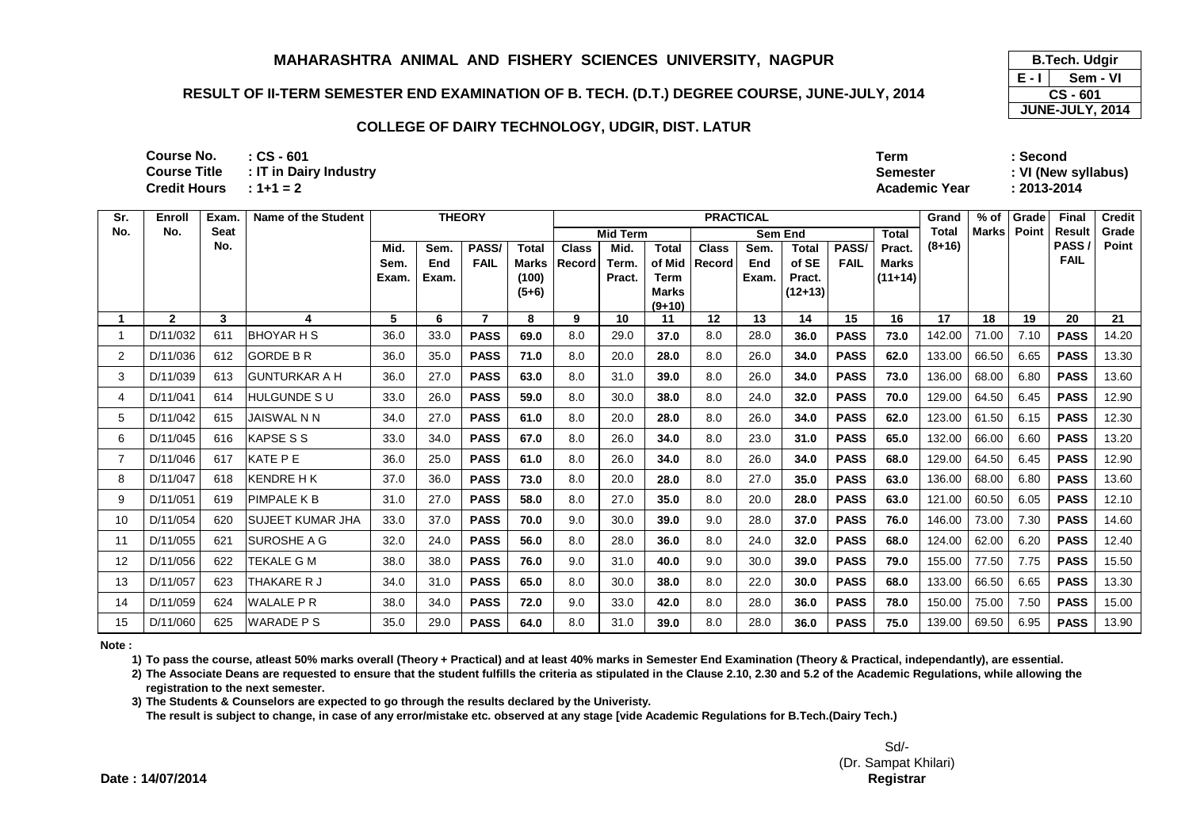## **RESULT OF II-TERM SEMESTER END EXAMINATION OF B. TECH. (D.T.) DEGREE COURSE, JUNE-JULY, 2014**

#### **COLLEGE OF DAIRY TECHNOLOGY, UDGIR, DIST. LATUR**

| 601            | Term                 | : Second            |
|----------------|----------------------|---------------------|
| Dairy Industry | <b>Semester</b>      | : VI (New syllabus) |
| $= 2$          | <b>Academic Year</b> | :2013-2014          |

**: CS - 601: 1+1 = 2Credit Hours Course No. Course Title** $: IT$  in

| Sr. | Enroll       | Exam. | Name of the Student  |       | <b>THEORY</b> |             |                  |              |                 |                      | <b>PRACTICAL</b> |         |                   |             |              | Grand  | $%$ of       | Grade | Final               | <b>Credit</b> |
|-----|--------------|-------|----------------------|-------|---------------|-------------|------------------|--------------|-----------------|----------------------|------------------|---------|-------------------|-------------|--------------|--------|--------------|-------|---------------------|---------------|
| No. | No.          | Seat  |                      |       |               |             |                  |              | <b>Mid Term</b> |                      |                  | Sem End |                   |             | <b>Total</b> | Total  | <b>Marks</b> | Point | Result              | Grade         |
|     |              | No.   |                      | Mid.  | Sem.          | PASS/       | <b>Total</b>     | <b>Class</b> | Mid.            | <b>Total</b>         | <b>Class</b>     | Sem.    | <b>Total</b>      | PASS/       | Pract.       | (8+16) |              |       | PASS<br><b>FAIL</b> | Point         |
|     |              |       |                      | Sem.  | End           | <b>FAIL</b> | Marks            | Record       | Term.           | of Mid               | <b>Record</b>    | End     | of SE             | <b>FAIL</b> | <b>Marks</b> |        |              |       |                     |               |
|     |              |       |                      | Exam. | Exam.         |             | (100)<br>$(5+6)$ |              | Pract.          | Term<br><b>Marks</b> |                  | Exam.   | Pract.<br>(12+13) |             | $(11+14)$    |        |              |       |                     |               |
|     |              |       |                      |       |               |             |                  |              |                 | $(9+10)$             |                  |         |                   |             |              |        |              |       |                     |               |
|     | $\mathbf{2}$ | 3     | 4                    | 5     | 6             | 7           | 8                | 9            | 10              | 11                   | 12               | 13      | 14                | 15          | 16           | 17     | 18           | 19    | 20                  | 21            |
|     | D/11/032     | 611   | IBHOYAR H S          | 36.0  | 33.0          | <b>PASS</b> | 69.0             | 8.0          | 29.0            | 37.0                 | 8.0              | 28.0    | 36.0              | <b>PASS</b> | 73.0         | 142.00 | 71.00        | 7.10  | <b>PASS</b>         | 14.20         |
| 2   | D/11/036     | 612   | <b>GORDE B R</b>     | 36.0  | 35.0          | <b>PASS</b> | 71.0             | 8.0          | 20.0            | 28.0                 | 8.0              | 26.0    | 34.0              | <b>PASS</b> | 62.0         | 133.00 | 66.50        | 6.65  | <b>PASS</b>         | 13.30         |
| 3   | D/11/039     | 613   | <b>GUNTURKAR A H</b> | 36.0  | 27.0          | <b>PASS</b> | 63.0             | 8.0          | 31.0            | 39.0                 | 8.0              | 26.0    | 34.0              | <b>PASS</b> | 73.0         | 136.00 | 68.00        | 6.80  | <b>PASS</b>         | 13.60         |
| 4   | D/11/041     | 614   | HULGUNDE S U         | 33.0  | 26.0          | <b>PASS</b> | 59.0             | 8.0          | 30.0            | 38.0                 | 8.0              | 24.0    | 32.0              | <b>PASS</b> | 70.0         | 129.00 | 64.50        | 6.45  | <b>PASS</b>         | 12.90         |
| 5   | D/11/042     | 615   | <b>JAISWAL N N</b>   | 34.0  | 27.0          | <b>PASS</b> | 61.0             | 8.0          | 20.0            | 28.0                 | 8.0              | 26.0    | 34.0              | <b>PASS</b> | 62.0         | 123.00 | 61.50        | 6.15  | <b>PASS</b>         | 12.30         |
| 6   | D/11/045     | 616   | <b>KAPSE S S</b>     | 33.0  | 34.0          | <b>PASS</b> | 67.0             | 8.0          | 26.0            | 34.0                 | 8.0              | 23.0    | 31.0              | <b>PASS</b> | 65.0         | 132.00 | 66.00        | 6.60  | <b>PASS</b>         | 13.20         |
| 7   | D/11/046     | 617   | <b>KATE PE</b>       | 36.0  | 25.0          | <b>PASS</b> | 61.0             | 8.0          | 26.0            | 34.0                 | 8.0              | 26.0    | 34.0              | <b>PASS</b> | 68.0         | 129.00 | 64.50        | 6.45  | <b>PASS</b>         | 12.90         |
| 8   | D/11/047     | 618   | KENDRE H K           | 37.0  | 36.0          | <b>PASS</b> | 73.0             | 8.0          | 20.0            | 28.0                 | 8.0              | 27.0    | 35.0              | <b>PASS</b> | 63.0         | 136.00 | 68.00        | 6.80  | <b>PASS</b>         | 13.60         |
| 9   | D/11/051     | 619   | PIMPALE K B          | 31.0  | 27.0          | <b>PASS</b> | 58.0             | 8.0          | 27.0            | 35.0                 | 8.0              | 20.0    | 28.0              | <b>PASS</b> | 63.0         | 121.00 | 60.50        | 6.05  | <b>PASS</b>         | 12.10         |
| 10  | D/11/054     | 620   | ISUJEET KUMAR JHA    | 33.0  | 37.0          | <b>PASS</b> | 70.0             | 9.0          | 30.0            | 39.0                 | 9.0              | 28.0    | 37.0              | <b>PASS</b> | 76.0         | 146.00 | 73.00        | 7.30  | <b>PASS</b>         | 14.60         |
| 11  | D/11/055     | 621   | <b>SUROSHE A G</b>   | 32.0  | 24.0          | <b>PASS</b> | 56.0             | 8.0          | 28.0            | 36.0                 | 8.0              | 24.0    | 32.0              | <b>PASS</b> | 68.0         | 124.00 | 62.00        | 6.20  | <b>PASS</b>         | 12.40         |
| 12  | D/11/056     | 622   | TEKALE G M           | 38.0  | 38.0          | <b>PASS</b> | 76.0             | 9.0          | 31.0            | 40.0                 | 9.0              | 30.0    | 39.0              | <b>PASS</b> | 79.0         | 155.00 | 77.50        | 7.75  | <b>PASS</b>         | 15.50         |
| 13  | D/11/057     | 623   | THAKARE R J          | 34.0  | 31.0          | <b>PASS</b> | 65.0             | 8.0          | 30.0            | 38.0                 | 8.0              | 22.0    | 30.0              | <b>PASS</b> | 68.0         | 133.00 | 66.50        | 6.65  | <b>PASS</b>         | 13.30         |
| 14  | D/11/059     | 624   | <b>WALALE PR</b>     | 38.0  | 34.0          | <b>PASS</b> | 72.0             | 9.0          | 33.0            | 42.0                 | 8.0              | 28.0    | 36.0              | <b>PASS</b> | 78.0         | 150.00 | 75.00        | 7.50  | <b>PASS</b>         | 15.00         |
| 15  | D/11/060     | 625   | <b>WARADE PS</b>     | 35.0  | 29.0          | <b>PASS</b> | 64.0             | 8.0          | 31.0            | 39.0                 | 8.0              | 28.0    | 36.0              | <b>PASS</b> | 75.0         | 139.00 | 69.50        | 6.95  | <b>PASS</b>         | 13.90         |

**Note :**

**1) To pass the course, atleast 50% marks overall (Theory + Practical) and at least 40% marks in Semester End Examination (Theory & Practical, independantly), are essential.** 

**2) The Associate Deans are requested to ensure that the student fulfills the criteria as stipulated in the Clause 2.10, 2.30 and 5.2 of the Academic Regulations, while allowing the registration to the next semester.**

**3) The Students & Counselors are expected to go through the results declared by the Univeristy.** 

**The result is subject to change, in case of any error/mistake etc. observed at any stage [vide Academic Regulations for B.Tech.(Dairy Tech.)**

**E - I B.Tech. Udgir Sem - VICS - 601JUNE-JULY, 2014**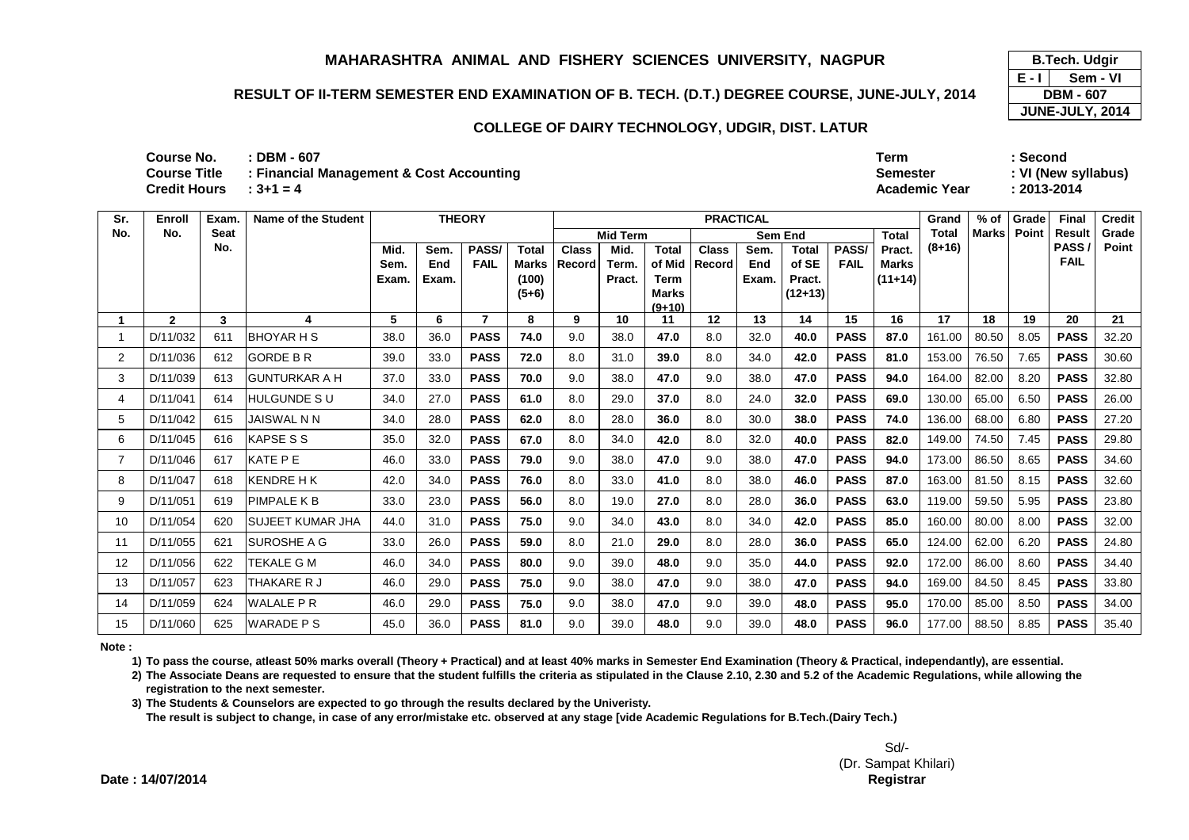### **RESULT OF II-TERM SEMESTER END EXAMINATION OF B. TECH. (D.T.) DEGREE COURSE, JUNE-JULY, 2014**

#### **COLLEGE OF DAIRY TECHNOLOGY, UDGIR, DIST. LATUR**

| <b>Course No.</b> | $:$ DBM - 607                            | <b>Term</b>          | Second              |
|-------------------|------------------------------------------|----------------------|---------------------|
| Course Title      | : Financial Management & Cost Accounting | <b>Semester</b>      | : VI (New syllabus) |
| Credit Hours      | $: 3 + 1 = 4$                            | <b>Academic Year</b> | 2013-2014           |
|                   |                                          |                      |                     |

| Sr. | Enroll       | Exam.       | <b>Name of the Student</b> |      |       | <b>THEORY</b> |              |              |                 |                          | <b>PRACTICAL</b> |                |              |             |              | Grand        | $%$ of | Grade | <b>Final</b>  | <b>Credit</b> |
|-----|--------------|-------------|----------------------------|------|-------|---------------|--------------|--------------|-----------------|--------------------------|------------------|----------------|--------------|-------------|--------------|--------------|--------|-------|---------------|---------------|
| No. | No.          | <b>Seat</b> |                            |      |       |               |              |              | <b>Mid Term</b> |                          |                  | <b>Sem End</b> |              |             | <b>Total</b> | <b>Total</b> | Marks  | Point | <b>Result</b> | Grade         |
|     |              | No.         |                            | Mid. | Sem.  | PASS/         | <b>Total</b> | <b>Class</b> | Mid.            | <b>Total</b>             | <b>Class</b>     | Sem.           | <b>Total</b> | PASS/       | Pract.       | $(8+16)$     |        |       | PASS/         | Point         |
|     |              |             |                            | Sem. | End   | <b>FAIL</b>   | <b>Marks</b> | Record       | Term.           | of Mid                   | <b>Record</b>    | End            | of SE        | <b>FAIL</b> | <b>Marks</b> |              |        |       | <b>FAIL</b>   |               |
|     |              |             |                            | Exam | Exam. |               | (100)        |              | Pract.          | Term                     |                  | Exam.          | Pract.       |             | $(11+14)$    |              |        |       |               |               |
|     |              |             |                            |      |       |               | $(5+6)$      |              |                 | <b>Marks</b><br>$(9+10)$ |                  |                | $(12+13)$    |             |              |              |        |       |               |               |
|     | $\mathbf{2}$ | 3           | 4                          | 5    | 6     |               | 8            | 9            | 10              | 11                       | 12               | 13             | 14           | 15          | 16           | 17           | 18     | 19    | 20            | 21            |
|     | D/11/032     | 611         | <b>BHOYAR H S</b>          | 38.0 | 36.0  | <b>PASS</b>   | 74.0         | 9.0          | 38.0            | 47.0                     | 8.0              | 32.0           | 40.0         | <b>PASS</b> | 87.0         | 161.00       | 80.50  | 8.05  | <b>PASS</b>   | 32.20         |
| 2   | D/11/036     | 612         | <b>GORDE B R</b>           | 39.0 | 33.0  | <b>PASS</b>   | 72.0         | 8.0          | 31.0            | 39.0                     | 8.0              | 34.0           | 42.0         | <b>PASS</b> | 81.0         | 153.00       | 76.50  | 7.65  | <b>PASS</b>   | 30.60         |
| 3   | D/11/039     | 613         | <b>IGUNTURKAR A H</b>      | 37.0 | 33.0  | <b>PASS</b>   | 70.0         | 9.0          | 38.0            | 47.0                     | 9.0              | 38.0           | 47.0         | <b>PASS</b> | 94.0         | 164.00       | 82.00  | 8.20  | <b>PASS</b>   | 32.80         |
| 4   | D/11/041     | 614         | <b>HULGUNDE SU</b>         | 34.0 | 27.0  | <b>PASS</b>   | 61.0         | 8.0          | 29.0            | 37.0                     | 8.0              | 24.0           | 32.0         | <b>PASS</b> | 69.0         | 130.00       | 65.00  | 6.50  | <b>PASS</b>   | 26.00         |
| 5   | D/11/042     | 615         | IJAISWAL N N               | 34.0 | 28.0  | <b>PASS</b>   | 62.0         | 8.0          | 28.0            | 36.0                     | 8.0              | 30.0           | 38.0         | <b>PASS</b> | 74.0         | 136.00       | 68.00  | 6.80  | <b>PASS</b>   | 27.20         |
| 6   | D/11/045     | 616         | <b>KAPSE S S</b>           | 35.0 | 32.0  | <b>PASS</b>   | 67.0         | 8.0          | 34.0            | 42.0                     | 8.0              | 32.0           | 40.0         | <b>PASS</b> | 82.0         | 149.00       | 74.50  | 7.45  | <b>PASS</b>   | 29.80         |
|     | D/11/046     | 617         | <b>KATE PE</b>             | 46.0 | 33.0  | <b>PASS</b>   | 79.0         | 9.0          | 38.0            | 47.0                     | 9.0              | 38.0           | 47.0         | <b>PASS</b> | 94.0         | 173.00       | 86.50  | 8.65  | <b>PASS</b>   | 34.60         |
| 8   | D/11/047     | 618         | <b>KENDRE H K</b>          | 42.0 | 34.0  | <b>PASS</b>   | 76.0         | 8.0          | 33.0            | 41.0                     | 8.0              | 38.0           | 46.0         | <b>PASS</b> | 87.0         | 163.00       | 81.50  | 8.15  | <b>PASS</b>   | 32.60         |
| 9   | D/11/051     | 619         | <b>PIMPALE K B</b>         | 33.0 | 23.0  | <b>PASS</b>   | 56.0         | 8.0          | 19.0            | 27.0                     | 8.0              | 28.0           | 36.0         | <b>PASS</b> | 63.0         | 119.00       | 59.50  | 5.95  | <b>PASS</b>   | 23.80         |
| 10  | D/11/054     | 620         | <b>ISUJEET KUMAR JHA</b>   | 44.0 | 31.0  | <b>PASS</b>   | 75.0         | 9.0          | 34.0            | 43.0                     | 8.0              | 34.0           | 42.0         | <b>PASS</b> | 85.0         | 160.00       | 80.00  | 8.00  | <b>PASS</b>   | 32.00         |
| 11  | D/11/055     | 621         | <b>SUROSHE A G</b>         | 33.0 | 26.0  | <b>PASS</b>   | 59.0         | 8.0          | 21.0            | 29.0                     | 8.0              | 28.0           | 36.0         | <b>PASS</b> | 65.0         | 124.00       | 62.00  | 6.20  | <b>PASS</b>   | 24.80         |
| 12  | D/11/056     | 622         | <b>TEKALE G M</b>          | 46.0 | 34.0  | <b>PASS</b>   | 80.0         | 9.0          | 39.0            | 48.0                     | 9.0              | 35.0           | 44.0         | <b>PASS</b> | 92.0         | 172.00       | 86.00  | 8.60  | <b>PASS</b>   | 34.40         |
| 13  | D/11/057     | 623         | THAKARE R J                | 46.0 | 29.0  | <b>PASS</b>   | 75.0         | 9.0          | 38.0            | 47.0                     | 9.0              | 38.0           | 47.0         | <b>PASS</b> | 94.0         | 169.00       | 84.50  | 8.45  | <b>PASS</b>   | 33.80         |
| 14  | D/11/059     | 624         | <b>WALALE P R</b>          | 46.0 | 29.0  | <b>PASS</b>   | 75.0         | 9.0          | 38.0            | 47.0                     | 9.0              | 39.0           | 48.0         | <b>PASS</b> | 95.0         | 170.00       | 85.00  | 8.50  | <b>PASS</b>   | 34.00         |
| 15  | D/11/060     | 625         | <b>WARADE PS</b>           | 45.0 | 36.0  | <b>PASS</b>   | 81.0         | 9.0          | 39.0            | 48.0                     | 9.0              | 39.0           | 48.0         | <b>PASS</b> | 96.0         | 177.00       | 88.50  | 8.85  | <b>PASS</b>   | 35.40         |

**Note :**

**1) To pass the course, atleast 50% marks overall (Theory + Practical) and at least 40% marks in Semester End Examination (Theory & Practical, independantly), are essential.** 

**2) The Associate Deans are requested to ensure that the student fulfills the criteria as stipulated in the Clause 2.10, 2.30 and 5.2 of the Academic Regulations, while allowing the registration to the next semester.**

**3) The Students & Counselors are expected to go through the results declared by the Univeristy.** 

**The result is subject to change, in case of any error/mistake etc. observed at any stage [vide Academic Regulations for B.Tech.(Dairy Tech.)**

**E - I DBM - 607JUNE-JULY, 2014 B.Tech. Udgir Sem - VI**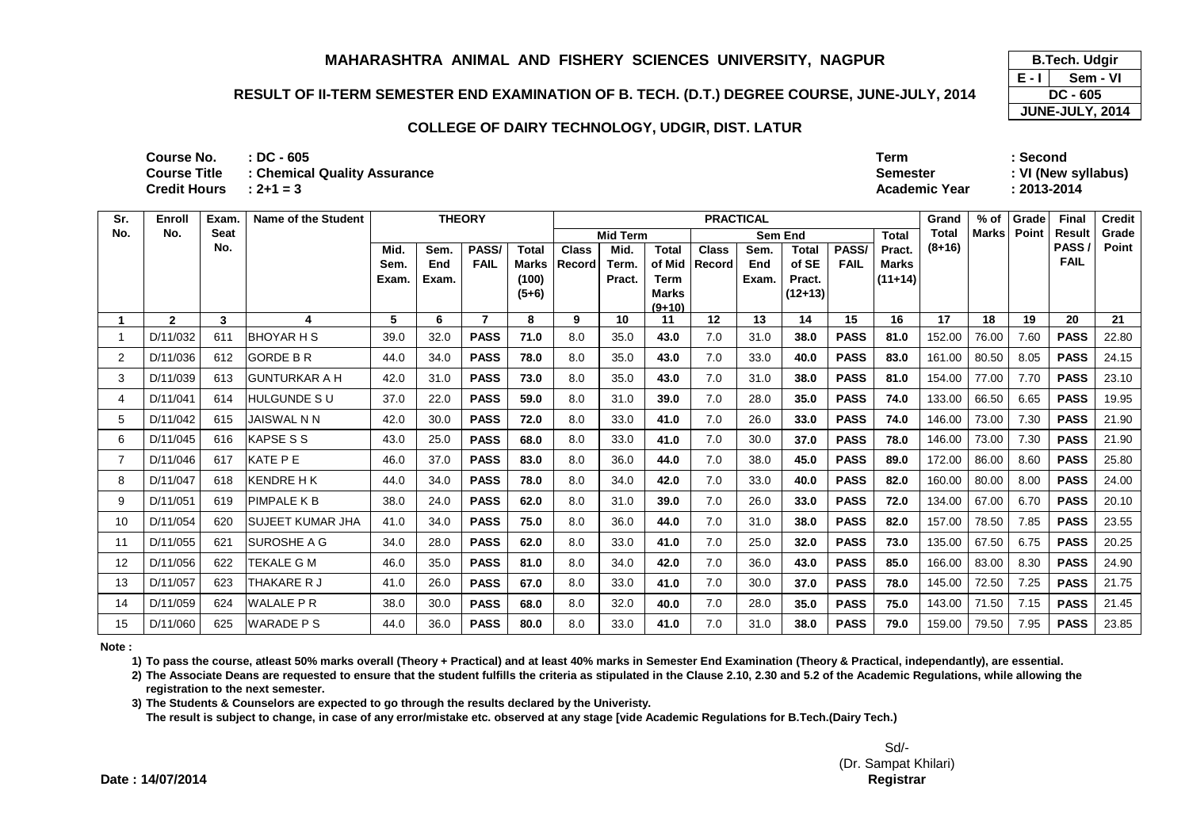### **RESULT OF II-TERM SEMESTER END EXAMINATION OF B. TECH. (D.T.) DEGREE COURSE, JUNE-JULY, 2014**

#### **COLLEGE OF DAIRY TECHNOLOGY, UDGIR, DIST. LATUR**

| Course No.          | : DC - 605                   | <b>Term</b>          | <b>Second</b>       |
|---------------------|------------------------------|----------------------|---------------------|
| <b>Course Title</b> | : Chemical Quality Assurance | Semester             | : VI (New syllabus) |
| <b>Credit Hours</b> | $2+1=3$                      | <b>Academic Year</b> | 2013-2014           |

| Sr.            | Enroll       | Exam. | Name of the Student     |       | <b>THEORY</b> |             |              |              |                 |                             | <b>PRACTICAL</b> |                |              |             |              | Grand        | $%$ of       | Grade | <b>Final</b>        | <b>Credit</b> |
|----------------|--------------|-------|-------------------------|-------|---------------|-------------|--------------|--------------|-----------------|-----------------------------|------------------|----------------|--------------|-------------|--------------|--------------|--------------|-------|---------------------|---------------|
| No.            | No.          | Seat  |                         |       |               |             |              |              | <b>Mid Term</b> |                             |                  | <b>Sem End</b> |              |             | <b>Total</b> | <b>Total</b> | <b>Marks</b> | Point | <b>Result</b>       | Grade         |
|                |              | No.   |                         | Mid.  | Sem.          | PASS/       | <b>Total</b> | <b>Class</b> | Mid.            | <b>Total</b>                | <b>Class</b>     | Sem.           | <b>Total</b> | PASS/       | Pract.       | $(8+16)$     |              |       | PASS<br><b>FAIL</b> | Point         |
|                |              |       |                         | Sem.  | End           | <b>FAIL</b> | <b>Marks</b> | Record       | Term.           | of Mid                      | <b>Record</b>    | End            | of SE        | <b>FAIL</b> | Marks        |              |              |       |                     |               |
|                |              |       |                         | Exam. | Exam.         |             | (100)        |              | Pract.          | <b>Term</b><br><b>Marks</b> |                  | Exam.          | Pract.       |             | $(11+14)$    |              |              |       |                     |               |
|                |              |       |                         |       |               |             | $(5+6)$      |              |                 | $(9+10)$                    |                  |                | $(12+13)$    |             |              |              |              |       |                     |               |
|                | $\mathbf{2}$ | 3     | 4                       | 5     | 6             | 7           | 8            | 9            | 10              | 11                          | 12               | 13             | 14           | 15          | 16           | 17           | 18           | 19    | 20                  | 21            |
|                | D/11/032     | 611   | <b>BHOYAR H S</b>       | 39.0  | 32.0          | <b>PASS</b> | 71.0         | 8.0          | 35.0            | 43.0                        | 7.0              | 31.0           | 38.0         | <b>PASS</b> | 81.0         | 152.00       | 76.00        | 7.60  | <b>PASS</b>         | 22.80         |
| $\overline{2}$ | D/11/036     | 612   | <b>GORDE B R</b>        | 44.0  | 34.0          | <b>PASS</b> | 78.0         | 8.0          | 35.0            | 43.0                        | 7.0              | 33.0           | 40.0         | <b>PASS</b> | 83.0         | 161.00       | 80.50        | 8.05  | <b>PASS</b>         | 24.15         |
| 3              | D/11/039     | 613   | <b>GUNTURKAR A H</b>    | 42.0  | 31.0          | <b>PASS</b> | 73.0         | 8.0          | 35.0            | 43.0                        | 7.0              | 31.0           | 38.0         | <b>PASS</b> | 81.0         | 154.00       | 77.00        | 7.70  | <b>PASS</b>         | 23.10         |
| 4              | D/11/041     | 614   | HULGUNDE S U            | 37.0  | 22.0          | <b>PASS</b> | 59.0         | 8.0          | 31.0            | 39.0                        | 7.0              | 28.0           | 35.0         | <b>PASS</b> | 74.0         | 133.00       | 66.50        | 6.65  | <b>PASS</b>         | 19.95         |
| 5              | D/11/042     | 615   | <b>JAISWAL N N</b>      | 42.0  | 30.0          | <b>PASS</b> | 72.0         | 8.0          | 33.0            | 41.0                        | 7.0              | 26.0           | 33.0         | <b>PASS</b> | 74.0         | 146.00       | 73.00        | 7.30  | <b>PASS</b>         | 21.90         |
| 6              | D/11/045     | 616   | <b>KAPSE S S</b>        | 43.0  | 25.0          | <b>PASS</b> | 68.0         | 8.0          | 33.0            | 41.0                        | 7.0              | 30.0           | 37.0         | <b>PASS</b> | 78.0         | 146.00       | 73.00        | 7.30  | <b>PASS</b>         | 21.90         |
| $\overline{7}$ | D/11/046     | 617   | <b>KATE PE</b>          | 46.0  | 37.0          | <b>PASS</b> | 83.0         | 8.0          | 36.0            | 44.0                        | 7.0              | 38.0           | 45.0         | <b>PASS</b> | 89.0         | 172.00       | 86.00        | 8.60  | <b>PASS</b>         | 25.80         |
| 8              | D/11/047     | 618   | <b>KENDRE H K</b>       | 44.0  | 34.0          | <b>PASS</b> | 78.0         | 8.0          | 34.0            | 42.0                        | 7.0              | 33.0           | 40.0         | <b>PASS</b> | 82.0         | 160.00       | 80.00        | 8.00  | <b>PASS</b>         | 24.00         |
| 9              | D/11/051     | 619   | <b>PIMPALE K B</b>      | 38.0  | 24.0          | <b>PASS</b> | 62.0         | 8.0          | 31.0            | 39.0                        | 7.0              | 26.0           | 33.0         | <b>PASS</b> | 72.0         | 134.00       | 67.00        | 6.70  | <b>PASS</b>         | 20.10         |
| 10             | D/11/054     | 620   | <b>SUJEET KUMAR JHA</b> | 41.0  | 34.0          | <b>PASS</b> | 75.0         | 8.0          | 36.0            | 44.0                        | 7.0              | 31.0           | 38.0         | <b>PASS</b> | 82.0         | 157.00       | 78.50        | 7.85  | <b>PASS</b>         | 23.55         |
| 11             | D/11/055     | 621   | <b>SUROSHE A G</b>      | 34.0  | 28.0          | <b>PASS</b> | 62.0         | 8.0          | 33.0            | 41.0                        | 7.0              | 25.0           | 32.0         | <b>PASS</b> | 73.0         | 135.00       | 67.50        | 6.75  | <b>PASS</b>         | 20.25         |
| 12             | D/11/056     | 622   | TEKALE G M              | 46.0  | 35.0          | <b>PASS</b> | 81.0         | 8.0          | 34.0            | 42.0                        | 7.0              | 36.0           | 43.0         | <b>PASS</b> | 85.0         | 166.00       | 83.00        | 8.30  | <b>PASS</b>         | 24.90         |
| 13             | D/11/057     | 623   | THAKARE R J             | 41.0  | 26.0          | <b>PASS</b> | 67.0         | 8.0          | 33.0            | 41.0                        | 7.0              | 30.0           | 37.0         | <b>PASS</b> | 78.0         | 145.00       | 72.50        | 7.25  | <b>PASS</b>         | 21.75         |
| 14             | D/11/059     | 624   | <b>WALALE PR</b>        | 38.0  | 30.0          | <b>PASS</b> | 68.0         | 8.0          | 32.0            | 40.0                        | 7.0              | 28.0           | 35.0         | <b>PASS</b> | 75.0         | 143.00       | 71.50        | 7.15  | <b>PASS</b>         | 21.45         |
| 15             | D/11/060     | 625   | <b>WARADE PS</b>        | 44.0  | 36.0          | <b>PASS</b> | 80.0         | 8.0          | 33.0            | 41.0                        | 7.0              | 31.0           | 38.0         | <b>PASS</b> | 79.0         | 159.00       | 79.50        | 7.95  | <b>PASS</b>         | 23.85         |

**Note :**

**1) To pass the course, atleast 50% marks overall (Theory + Practical) and at least 40% marks in Semester End Examination (Theory & Practical, independantly), are essential.** 

**2) The Associate Deans are requested to ensure that the student fulfills the criteria as stipulated in the Clause 2.10, 2.30 and 5.2 of the Academic Regulations, while allowing the registration to the next semester.**

**3) The Students & Counselors are expected to go through the results declared by the Univeristy.** 

**The result is subject to change, in case of any error/mistake etc. observed at any stage [vide Academic Regulations for B.Tech.(Dairy Tech.)**

**E - I B.Tech. Udgir Sem - VI DC - 605 JUNE-JULY, 2014**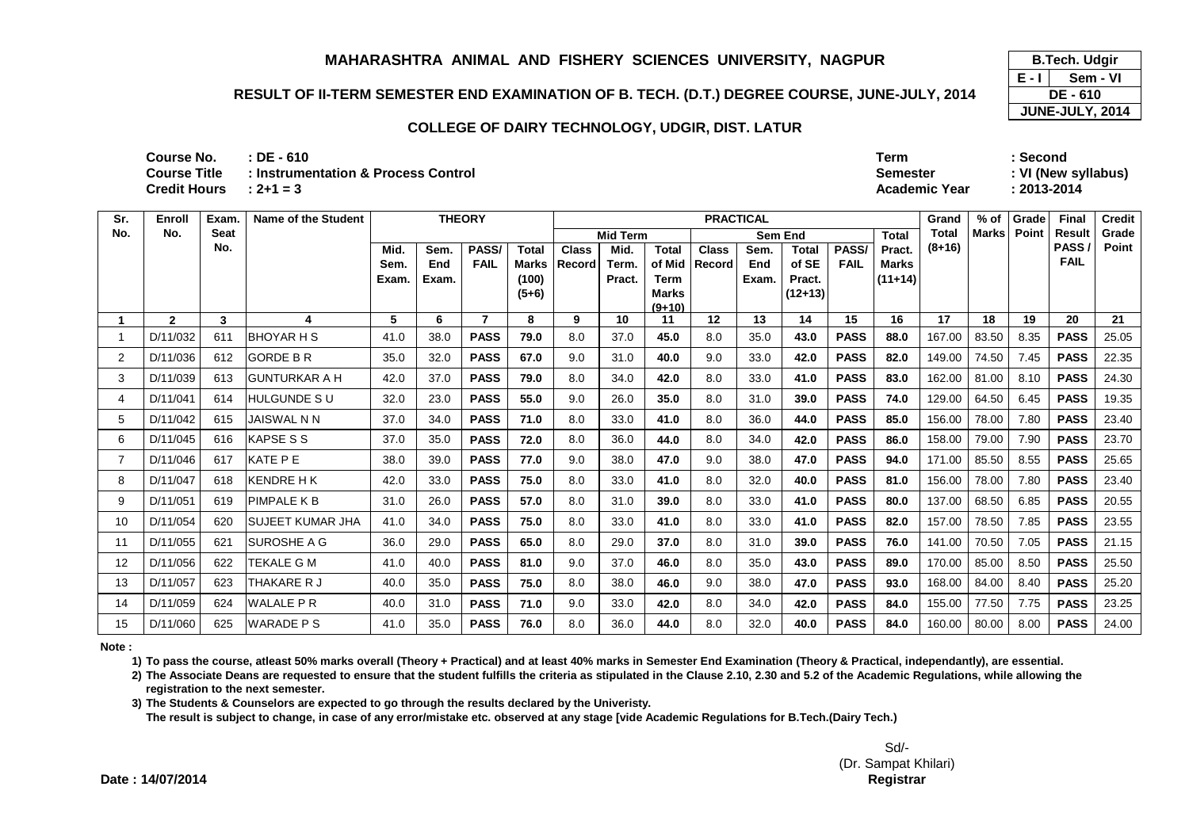## **RESULT OF II-TERM SEMESTER END EXAMINATION OF B. TECH. (D.T.) DEGREE COURSE, JUNE-JULY, 2014**

#### **COLLEGE OF DAIRY TECHNOLOGY, UDGIR, DIST. LATUR**

| Course No.   | $\therefore$ DE - 610               | Term                 | Second              |
|--------------|-------------------------------------|----------------------|---------------------|
| Course Title | : Instrumentation & Process Control | Semester             | : VI (New syllabus) |
| Credit Hours | $: 2 + 1 = 3$                       | <b>Academic Year</b> | 2013-2014           |

| Sr.            | Enroll       | Exam        | <b>Name of the Student</b> |       |       | <b>THEORY</b> |              |              |                 |                          | <b>PRACTICAL</b> |       |              |             |              | Grand    | $%$ of       | Grade | Final         | <b>Credit</b> |
|----------------|--------------|-------------|----------------------------|-------|-------|---------------|--------------|--------------|-----------------|--------------------------|------------------|-------|--------------|-------------|--------------|----------|--------------|-------|---------------|---------------|
| No.            | No.          | <b>Seat</b> |                            |       |       |               |              |              | <b>Mid Term</b> |                          |                  |       | Sem End      |             | <b>Total</b> | Total    | <b>Marks</b> | Point | <b>Result</b> | Grade         |
|                |              | No.         |                            | Mid.  | Sem.  | PASS/         | <b>Total</b> | <b>Class</b> | Mid.            | <b>Total</b>             | <b>Class</b>     | Sem.  | <b>Total</b> | <b>PASS</b> | Pract.       | $(8+16)$ |              |       | PASS/         | Point         |
|                |              |             |                            | Sem.  | End   | <b>FAIL</b>   | Marks        | Record       | Term.           | of Mid                   | Record           | End   | of SE        | <b>FAIL</b> | <b>Marks</b> |          |              |       | <b>FAIL</b>   |               |
|                |              |             |                            | Exam. | Exam. |               | (100)        |              | Pract.          | Term                     |                  | Exam. | Pract.       |             | $(11+14)$    |          |              |       |               |               |
|                |              |             |                            |       |       |               | $(5+6)$      |              |                 | <b>Marks</b><br>$(9+10)$ |                  |       | $(12+13)$    |             |              |          |              |       |               |               |
|                | $\mathbf{2}$ | 3           | 4                          | 5     | 6     |               | 8            | 9            | 10              | 11                       | 12               | 13    | 14           | 15          | 16           | 17       | 18           | 19    | 20            | 21            |
|                | D/11/032     | 611         | <b>BHOYAR H S</b>          | 41.0  | 38.0  | <b>PASS</b>   | 79.0         | 8.0          | 37.0            | 45.0                     | 8.0              | 35.0  | 43.0         | <b>PASS</b> | 88.0         | 167.00   | 83.50        | 8.35  | <b>PASS</b>   | 25.05         |
| $\overline{2}$ | D/11/036     | 612         | <b>GORDE B R</b>           | 35.0  | 32.0  | <b>PASS</b>   | 67.0         | 9.0          | 31.0            | 40.0                     | 9.0              | 33.0  | 42.0         | <b>PASS</b> | 82.0         | 149.00   | 74.50        | 7.45  | <b>PASS</b>   | 22.35         |
| 3              | D/11/039     | 613         | <b>GUNTURKAR A H</b>       | 42.0  | 37.0  | <b>PASS</b>   | 79.0         | 8.0          | 34.0            | 42.0                     | 8.0              | 33.0  | 41.0         | <b>PASS</b> | 83.0         | 162.00   | 81.00        | 8.10  | <b>PASS</b>   | 24.30         |
| 4              | D/11/041     | 614         | <b>HULGUNDE SU</b>         | 32.0  | 23.0  | <b>PASS</b>   | 55.0         | 9.0          | 26.0            | 35.0                     | 8.0              | 31.0  | 39.0         | <b>PASS</b> | 74.0         | 129.00   | 64.50        | 6.45  | <b>PASS</b>   | 19.35         |
| 5              | D/11/042     | 615         | <b>JAISWAL N N</b>         | 37.0  | 34.0  | <b>PASS</b>   | 71.0         | 8.0          | 33.0            | 41.0                     | 8.0              | 36.0  | 44.0         | <b>PASS</b> | 85.0         | 156.00   | 78.00        | 7.80  | <b>PASS</b>   | 23.40         |
| 6              | D/11/045     | 616         | <b>KAPSE S S</b>           | 37.0  | 35.0  | <b>PASS</b>   | 72.0         | 8.0          | 36.0            | 44.0                     | 8.0              | 34.0  | 42.0         | <b>PASS</b> | 86.0         | 158.00   | 79.00        | 7.90  | <b>PASS</b>   | 23.70         |
| 7              | D/11/046     | 617         | KATE PE                    | 38.0  | 39.0  | <b>PASS</b>   | 77.0         | 9.0          | 38.0            | 47.0                     | 9.0              | 38.0  | 47.0         | <b>PASS</b> | 94.0         | 171.00   | 85.50        | 8.55  | <b>PASS</b>   | 25.65         |
| 8              | D/11/047     | 618         | <b>KENDRE H K</b>          | 42.0  | 33.0  | <b>PASS</b>   | 75.0         | 8.0          | 33.0            | 41.0                     | 8.0              | 32.0  | 40.0         | <b>PASS</b> | 81.0         | 156.00   | 78.00        | 7.80  | <b>PASS</b>   | 23.40         |
| 9              | D/11/051     | 619         | <b>PIMPALE K B</b>         | 31.0  | 26.0  | <b>PASS</b>   | 57.0         | 8.0          | 31.0            | 39.0                     | 8.0              | 33.0  | 41.0         | <b>PASS</b> | 80.0         | 137.00   | 68.50        | 6.85  | <b>PASS</b>   | 20.55         |
| 10             | D/11/054     | 620         | <b>SUJEET KUMAR JHA</b>    | 41.0  | 34.0  | <b>PASS</b>   | 75.0         | 8.0          | 33.0            | 41.0                     | 8.0              | 33.0  | 41.0         | <b>PASS</b> | 82.0         | 157.00   | 78.50        | 7.85  | <b>PASS</b>   | 23.55         |
| 11             | D/11/055     | 621         | <b>SUROSHE A G</b>         | 36.0  | 29.0  | <b>PASS</b>   | 65.0         | 8.0          | 29.0            | 37.0                     | 8.0              | 31.0  | 39.0         | <b>PASS</b> | 76.0         | 141.00   | 70.50        | 7.05  | <b>PASS</b>   | 21.15         |
| 12             | D/11/056     | 622         | TEKALE G M                 | 41.0  | 40.0  | <b>PASS</b>   | 81.0         | 9.0          | 37.0            | 46.0                     | 8.0              | 35.0  | 43.0         | <b>PASS</b> | 89.0         | 170.00   | 85.00        | 8.50  | <b>PASS</b>   | 25.50         |
| 13             | D/11/057     | 623         | THAKARE R J                | 40.0  | 35.0  | <b>PASS</b>   | 75.0         | 8.0          | 38.0            | 46.0                     | 9.0              | 38.0  | 47.0         | <b>PASS</b> | 93.0         | 168.00   | 84.00        | 8.40  | <b>PASS</b>   | 25.20         |
| 14             | D/11/059     | 624         | <b>WALALE P R</b>          | 40.0  | 31.0  | <b>PASS</b>   | 71.0         | 9.0          | 33.0            | 42.0                     | 8.0              | 34.0  | 42.0         | <b>PASS</b> | 84.0         | 155.00   | 77.50        | 7.75  | <b>PASS</b>   | 23.25         |
| 15             | D/11/060     | 625         | <b>WARADE PS</b>           | 41.0  | 35.0  | <b>PASS</b>   | 76.0         | 8.0          | 36.0            | 44.0                     | 8.0              | 32.0  | 40.0         | <b>PASS</b> | 84.0         | 160.00   | 80.00        | 8.00  | <b>PASS</b>   | 24.00         |

**Note :**

**1) To pass the course, atleast 50% marks overall (Theory + Practical) and at least 40% marks in Semester End Examination (Theory & Practical, independantly), are essential.** 

**2) The Associate Deans are requested to ensure that the student fulfills the criteria as stipulated in the Clause 2.10, 2.30 and 5.2 of the Academic Regulations, while allowing the registration to the next semester.**

**3) The Students & Counselors are expected to go through the results declared by the Univeristy.** 

**The result is subject to change, in case of any error/mistake etc. observed at any stage [vide Academic Regulations for B.Tech.(Dairy Tech.)**

**E - I JUNE-JULY, 2014 B.Tech. Udgir Sem - VIDE - 610**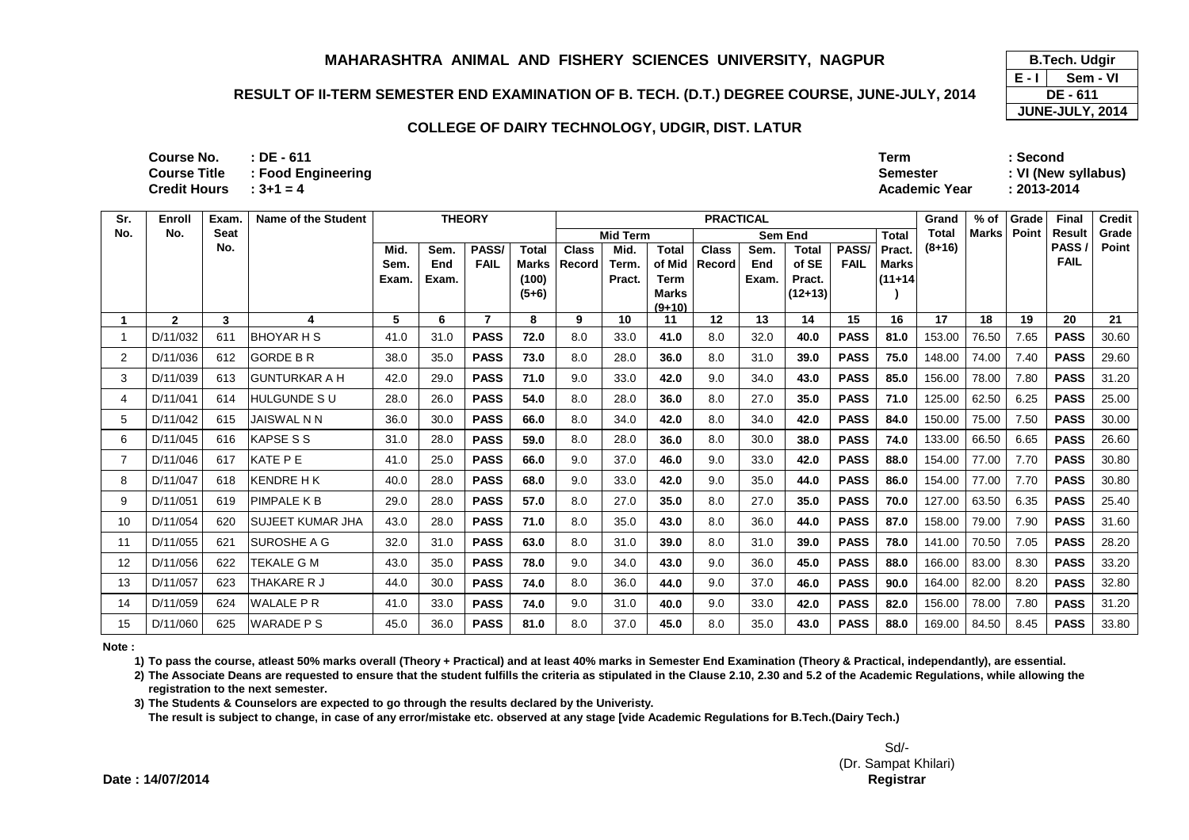## **RESULT OF II-TERM SEMESTER END EXAMINATION OF B. TECH. (D.T.) DEGREE COURSE, JUNE-JULY, 2014**

## **COLLEGE OF DAIRY TECHNOLOGY, UDGIR, DIST. LATUR**

| <b>Course No.</b>        | $:$ DE - 611       | <b>Term</b>          | Second              |
|--------------------------|--------------------|----------------------|---------------------|
| <b>Course Title</b>      | : Food Engineering | Semester             | : VI (New syllabus) |
| Credit Hours $: 3+1 = 4$ |                    | <b>Academic Year</b> | : 2013-2014         |

| Sr. | Enroll       | Exam. | <b>Name of the Student</b> |       |       | <b>THEORY</b> |                  |              |                 |                      | <b>PRACTICAL</b> |       |                     |             |              | Grand    | $%$ of       | Grade | Final                | <b>Credit</b> |
|-----|--------------|-------|----------------------------|-------|-------|---------------|------------------|--------------|-----------------|----------------------|------------------|-------|---------------------|-------------|--------------|----------|--------------|-------|----------------------|---------------|
| No. | No.          | Seat  |                            |       |       |               |                  |              | <b>Mid Term</b> |                      |                  |       | Sem End             |             | <b>Total</b> | Total    | <b>Marks</b> | Point | <b>Result</b>        | Grade         |
|     |              | No.   |                            | Mid.  | Sem.  | PASS/         | <b>Total</b>     | <b>Class</b> | Mid.            | <b>Total</b>         | <b>Class</b>     | Sem.  | <b>Total</b>        | PASS/       | Pract.       | $(8+16)$ |              |       | PASS/<br><b>FAIL</b> | Point         |
|     |              |       |                            | Sem.  | End   | <b>FAIL</b>   | Marks            | l Record     | Term.           | of Mid               | <b>Record</b>    | End   | of SE               | <b>FAIL</b> | <b>Marks</b> |          |              |       |                      |               |
|     |              |       |                            | Exam. | Exam. |               | (100)<br>$(5+6)$ |              | Pract.          | Term<br><b>Marks</b> |                  | Exam. | Pract.<br>$(12+13)$ |             | $(11+14)$    |          |              |       |                      |               |
|     |              |       |                            |       |       |               |                  |              |                 | $(9+10)$             |                  |       |                     |             |              |          |              |       |                      |               |
|     | $\mathbf{2}$ | 3     | 4                          | 5     | 6     | 7             | 8                | 9            | 10              | 11                   | 12               | 13    | 14                  | 15          | 16           | 17       | 18           | 19    | 20                   | 21            |
|     | D/11/032     | 611   | <b>BHOYAR H S</b>          | 41.0  | 31.0  | <b>PASS</b>   | 72.0             | 8.0          | 33.0            | 41.0                 | 8.0              | 32.0  | 40.0                | <b>PASS</b> | 81.0         | 153.00   | 76.50        | 7.65  | <b>PASS</b>          | 30.60         |
| 2   | D/11/036     | 612   | <b>GORDE B R</b>           | 38.0  | 35.0  | <b>PASS</b>   | 73.0             | 8.0          | 28.0            | 36.0                 | 8.0              | 31.0  | 39.0                | <b>PASS</b> | 75.0         | 148.00   | 74.00        | 7.40  | <b>PASS</b>          | 29.60         |
| 3   | D/11/039     | 613   | <b>GUNTURKAR A H</b>       | 42.0  | 29.0  | <b>PASS</b>   | 71.0             | 9.0          | 33.0            | 42.0                 | 9.0              | 34.0  | 43.0                | <b>PASS</b> | 85.0         | 156.00   | 78.00        | 7.80  | <b>PASS</b>          | 31.20         |
| 4   | D/11/041     | 614   | <b>HULGUNDE SU</b>         | 28.0  | 26.0  | <b>PASS</b>   | 54.0             | 8.0          | 28.0            | 36.0                 | 8.0              | 27.0  | 35.0                | <b>PASS</b> | 71.0         | 125.00   | 62.50        | 6.25  | <b>PASS</b>          | 25.00         |
| 5   | D/11/042     | 615   | JAISWAL N N                | 36.0  | 30.0  | <b>PASS</b>   | 66.0             | 8.0          | 34.0            | 42.0                 | 8.0              | 34.0  | 42.0                | <b>PASS</b> | 84.0         | 150.00   | 75.00        | 7.50  | <b>PASS</b>          | 30.00         |
| 6   | D/11/045     | 616   | <b>KAPSE S S</b>           | 31.0  | 28.0  | <b>PASS</b>   | 59.0             | 8.0          | 28.0            | 36.0                 | 8.0              | 30.0  | 38.0                | <b>PASS</b> | 74.0         | 133.00   | 66.50        | 6.65  | <b>PASS</b>          | 26.60         |
|     | D/11/046     | 617   | KATE P E                   | 41.0  | 25.0  | <b>PASS</b>   | 66.0             | 9.0          | 37.0            | 46.0                 | 9.0              | 33.0  | 42.0                | <b>PASS</b> | 88.0         | 154.00   | 77.00        | 7.70  | <b>PASS</b>          | 30.80         |
| 8   | D/11/047     | 618   | <b>KENDRE HK</b>           | 40.0  | 28.0  | <b>PASS</b>   | 68.0             | 9.0          | 33.0            | 42.0                 | 9.0              | 35.0  | 44.0                | <b>PASS</b> | 86.0         | 154.00   | 77.00        | 7.70  | <b>PASS</b>          | 30.80         |
| 9   | D/11/051     | 619   | PIMPALE K B                | 29.0  | 28.0  | <b>PASS</b>   | 57.0             | 8.0          | 27.0            | 35.0                 | 8.0              | 27.0  | 35.0                | <b>PASS</b> | 70.0         | 127.00   | 63.50        | 6.35  | <b>PASS</b>          | 25.40         |
| 10  | D/11/054     | 620   | <b>SUJEET KUMAR JHA</b>    | 43.0  | 28.0  | <b>PASS</b>   | 71.0             | 8.0          | 35.0            | 43.0                 | 8.0              | 36.0  | 44.0                | <b>PASS</b> | 87.0         | 158.00   | 79.00        | 7.90  | <b>PASS</b>          | 31.60         |
| 11  | D/11/055     | 621   | SUROSHE A G                | 32.0  | 31.0  | <b>PASS</b>   | 63.0             | 8.0          | 31.0            | 39.0                 | 8.0              | 31.0  | 39.0                | <b>PASS</b> | 78.0         | 141.00   | 70.50        | 7.05  | <b>PASS</b>          | 28.20         |
| 12  | D/11/056     | 622   | <b>TEKALE G M</b>          | 43.0  | 35.0  | <b>PASS</b>   | 78.0             | 9.0          | 34.0            | 43.0                 | 9.0              | 36.0  | 45.0                | <b>PASS</b> | 88.0         | 166.00   | 83.00        | 8.30  | <b>PASS</b>          | 33.20         |
| 13  | D/11/057     | 623   | THAKARE R J                | 44.0  | 30.0  | <b>PASS</b>   | 74.0             | 8.0          | 36.0            | 44.0                 | 9.0              | 37.0  | 46.0                | <b>PASS</b> | 90.0         | 164.00   | 82.00        | 8.20  | <b>PASS</b>          | 32.80         |
| 14  | D/11/059     | 624   | <b>WALALE P R</b>          | 41.0  | 33.0  | <b>PASS</b>   | 74.0             | 9.0          | 31.0            | 40.0                 | 9.0              | 33.0  | 42.0                | <b>PASS</b> | 82.0         | 156.00   | 78.00        | 7.80  | <b>PASS</b>          | 31.20         |
| 15  | D/11/060     | 625   | <b>WARADE PS</b>           | 45.0  | 36.0  | <b>PASS</b>   | 81.0             | 8.0          | 37.0            | 45.0                 | 8.0              | 35.0  | 43.0                | <b>PASS</b> | 88.0         | 169.00   | 84.50        | 8.45  | <b>PASS</b>          | 33.80         |

**Note :**

**1) To pass the course, atleast 50% marks overall (Theory + Practical) and at least 40% marks in Semester End Examination (Theory & Practical, independantly), are essential.** 

**2) The Associate Deans are requested to ensure that the student fulfills the criteria as stipulated in the Clause 2.10, 2.30 and 5.2 of the Academic Regulations, while allowing the registration to the next semester.**

**3) The Students & Counselors are expected to go through the results declared by the Univeristy.** 

**The result is subject to change, in case of any error/mistake etc. observed at any stage [vide Academic Regulations for B.Tech.(Dairy Tech.)**

**E - I JUNE-JULY, 2014 B.Tech. Udgir Sem - VIDE - 611**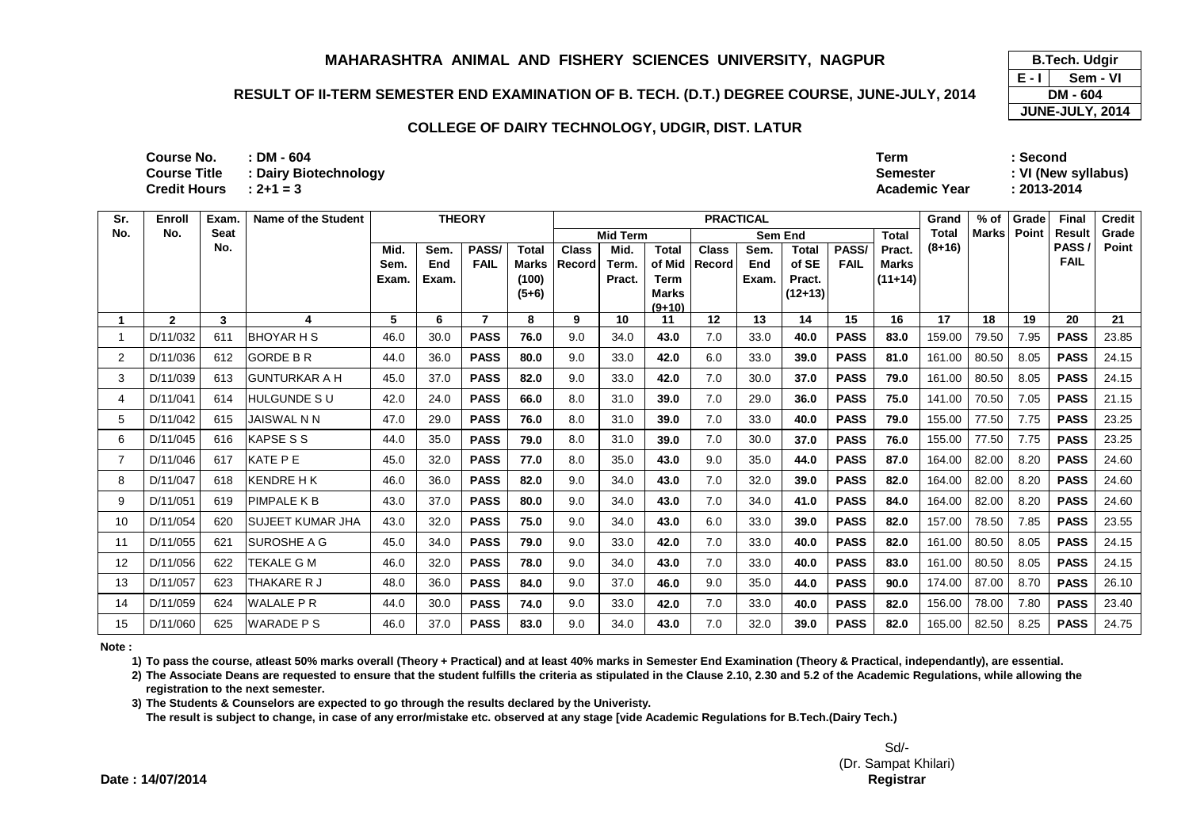## **RESULT OF II-TERM SEMESTER END EXAMINATION OF B. TECH. (D.T.) DEGREE COURSE, JUNE-JULY, 2014**

## **COLLEGE OF DAIRY TECHNOLOGY, UDGIR, DIST. LATUR**

| Course No.          | $\cdot$ DM - 604      | <b>Term</b>          | Second              |
|---------------------|-----------------------|----------------------|---------------------|
| <b>Course Title</b> | : Dairy Biotechnology | <b>Semester</b>      | : VI (New syllabus) |
| <b>Credit Hours</b> | $: 2 + 1 = 3$         | <b>Academic Year</b> | : 2013-2014         |
|                     |                       |                      |                     |

| Sr. | Enroll       | Exam.       | Name of the Student  |       |       | <b>THEORY</b> |                  |              |                 |                      |              | <b>PRACTICAL</b> |                     |             |              | Grand        | $%$ of       | Grade | Final               | <b>Credit</b> |
|-----|--------------|-------------|----------------------|-------|-------|---------------|------------------|--------------|-----------------|----------------------|--------------|------------------|---------------------|-------------|--------------|--------------|--------------|-------|---------------------|---------------|
| No. | No.          | <b>Seat</b> |                      |       |       |               |                  |              | <b>Mid Term</b> |                      |              | <b>Sem End</b>   |                     |             | <b>Total</b> | <b>Total</b> | <b>Marks</b> | Point | Result              | Grade         |
|     |              | No.         |                      | Mid.  | Sem.  | PASS/         | <b>Total</b>     | <b>Class</b> | Mid.            | <b>Total</b>         | <b>Class</b> | Sem.             | <b>Total</b>        | PASS/       | Pract.       | $(8+16)$     |              |       | PASS<br><b>FAIL</b> | Point         |
|     |              |             |                      | Sem.  | End   | <b>FAIL</b>   | Marks            | Record       | Term.           | of Mid               | Record       | End              | of SE               | <b>FAIL</b> | <b>Marks</b> |              |              |       |                     |               |
|     |              |             |                      | Exam. | Exam. |               | (100)<br>$(5+6)$ |              | Pract.          | Term<br><b>Marks</b> |              | Exam.            | Pract.<br>$(12+13)$ |             | $(11+14)$    |              |              |       |                     |               |
|     |              |             |                      |       |       |               |                  |              |                 | $(9+10)$             |              |                  |                     |             |              |              |              |       |                     |               |
|     | $\mathbf{2}$ | 3           | 4                    | 5     | 6     |               | 8                | 9            | 10              | 11                   | 12           | 13               | 14                  | 15          | 16           | 17           | 18           | 19    | 20                  | 21            |
|     | D/11/032     | 611         | IBHOYAR H S          | 46.0  | 30.0  | <b>PASS</b>   | 76.0             | 9.0          | 34.0            | 43.0                 | 7.0          | 33.0             | 40.0                | <b>PASS</b> | 83.0         | 159.00       | 79.50        | 7.95  | <b>PASS</b>         | 23.85         |
| 2   | D/11/036     | 612         | <b>GORDE B R</b>     | 44.0  | 36.0  | <b>PASS</b>   | 80.0             | 9.0          | 33.0            | 42.0                 | 6.0          | 33.0             | 39.0                | <b>PASS</b> | 81.0         | 161.00       | 80.50        | 8.05  | <b>PASS</b>         | 24.15         |
| 3   | D/11/039     | 613         | <b>GUNTURKAR A H</b> | 45.0  | 37.0  | <b>PASS</b>   | 82.0             | 9.0          | 33.0            | 42.0                 | 7.0          | 30.0             | 37.0                | <b>PASS</b> | 79.0         | 161.00       | 80.50        | 8.05  | <b>PASS</b>         | 24.15         |
| 4   | D/11/041     | 614         | HULGUNDE S U         | 42.0  | 24.0  | <b>PASS</b>   | 66.0             | 8.0          | 31.0            | 39.0                 | 7.0          | 29.0             | 36.0                | <b>PASS</b> | 75.0         | 141.00       | 70.50        | 7.05  | <b>PASS</b>         | 21.15         |
| 5   | D/11/042     | 615         | <b>JAISWAL N N</b>   | 47.0  | 29.0  | <b>PASS</b>   | 76.0             | 8.0          | 31.0            | 39.0                 | 7.0          | 33.0             | 40.0                | <b>PASS</b> | 79.0         | 155.00       | 77.50        | 7.75  | <b>PASS</b>         | 23.25         |
| 6   | D/11/045     | 616         | <b>KAPSE S S</b>     | 44.0  | 35.0  | <b>PASS</b>   | 79.0             | 8.0          | 31.0            | 39.0                 | 7.0          | 30.0             | 37.0                | <b>PASS</b> | 76.0         | 155.00       | 77.50        | 7.75  | <b>PASS</b>         | 23.25         |
| 7   | D/11/046     | 617         | KATE PE              | 45.0  | 32.0  | <b>PASS</b>   | 77.0             | 8.0          | 35.0            | 43.0                 | 9.0          | 35.0             | 44.0                | <b>PASS</b> | 87.0         | 164.00       | 82.00        | 8.20  | <b>PASS</b>         | 24.60         |
| 8   | D/11/047     | 618         | <b>KENDRE HK</b>     | 46.0  | 36.0  | <b>PASS</b>   | 82.0             | 9.0          | 34.0            | 43.0                 | 7.0          | 32.0             | 39.0                | <b>PASS</b> | 82.0         | 164.00       | 82.00        | 8.20  | <b>PASS</b>         | 24.60         |
| 9   | D/11/051     | 619         | PIMPALE K B          | 43.0  | 37.0  | <b>PASS</b>   | 80.0             | 9.0          | 34.0            | 43.0                 | 7.0          | 34.0             | 41.0                | <b>PASS</b> | 84.0         | 164.00       | 82.00        | 8.20  | <b>PASS</b>         | 24.60         |
| 10  | D/11/054     | 620         | ISUJEET KUMAR JHA    | 43.0  | 32.0  | <b>PASS</b>   | 75.0             | 9.0          | 34.0            | 43.0                 | 6.0          | 33.0             | 39.0                | <b>PASS</b> | 82.0         | 157.00       | 78.50        | 7.85  | <b>PASS</b>         | 23.55         |
| 11  | D/11/055     | 621         | <b>ISUROSHE A G</b>  | 45.0  | 34.0  | <b>PASS</b>   | 79.0             | 9.0          | 33.0            | 42.0                 | 7.0          | 33.0             | 40.0                | <b>PASS</b> | 82.0         | 161.00       | 80.50        | 8.05  | <b>PASS</b>         | 24.15         |
| 12  | D/11/056     | 622         | TEKALE G M           | 46.0  | 32.0  | <b>PASS</b>   | 78.0             | 9.0          | 34.0            | 43.0                 | 7.0          | 33.0             | 40.0                | <b>PASS</b> | 83.0         | 161.00       | 80.50        | 8.05  | <b>PASS</b>         | 24.15         |
| 13  | D/11/057     | 623         | THAKARE R J          | 48.0  | 36.0  | <b>PASS</b>   | 84.0             | 9.0          | 37.0            | 46.0                 | 9.0          | 35.0             | 44.0                | <b>PASS</b> | 90.0         | 174.00       | 87.00        | 8.70  | <b>PASS</b>         | 26.10         |
| 14  | D/11/059     | 624         | <b>WALALE PR</b>     | 44.0  | 30.0  | <b>PASS</b>   | 74.0             | 9.0          | 33.0            | 42.0                 | 7.0          | 33.0             | 40.0                | <b>PASS</b> | 82.0         | 156.00       | 78.00        | 7.80  | <b>PASS</b>         | 23.40         |
| 15  | D/11/060     | 625         | <b>WARADE PS</b>     | 46.0  | 37.0  | <b>PASS</b>   | 83.0             | 9.0          | 34.0            | 43.0                 | 7.0          | 32.0             | 39.0                | <b>PASS</b> | 82.0         | 165.00       | 82.50        | 8.25  | <b>PASS</b>         | 24.75         |

**Note :**

**1) To pass the course, atleast 50% marks overall (Theory + Practical) and at least 40% marks in Semester End Examination (Theory & Practical, independantly), are essential.** 

**2) The Associate Deans are requested to ensure that the student fulfills the criteria as stipulated in the Clause 2.10, 2.30 and 5.2 of the Academic Regulations, while allowing the registration to the next semester.**

**3) The Students & Counselors are expected to go through the results declared by the Univeristy.** 

**The result is subject to change, in case of any error/mistake etc. observed at any stage [vide Academic Regulations for B.Tech.(Dairy Tech.)**

**E - I JUNE-JULY, 2014 B.Tech. Udgir Sem - VIDM - 604**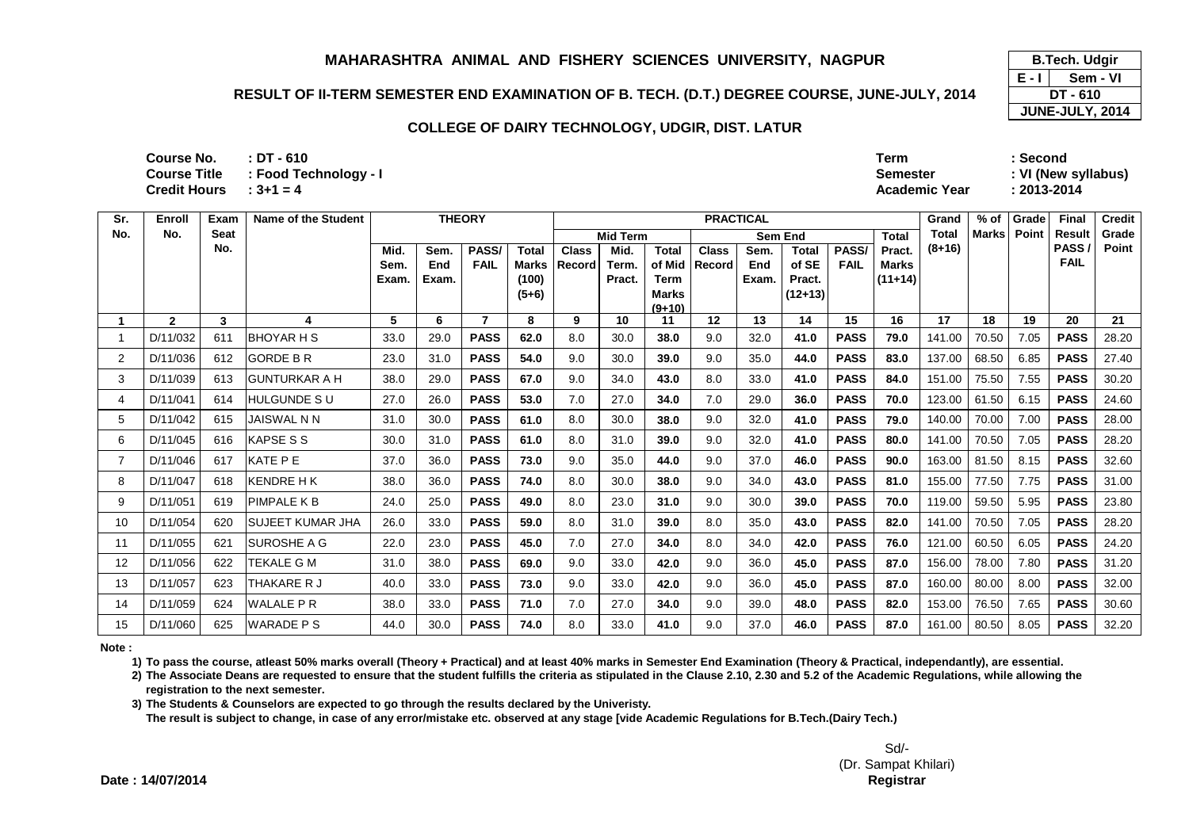## **RESULT OF II-TERM SEMESTER END EXAMINATION OF B. TECH. (D.T.) DEGREE COURSE, JUNE-JULY, 2014**

#### **COLLEGE OF DAIRY TECHNOLOGY, UDGIR, DIST. LATUR**

| Course No.               | : DT - 610            | <b>Term</b>          | Second              |
|--------------------------|-----------------------|----------------------|---------------------|
| <b>Course Title</b>      | : Food Technology - I | Semester             | : VI (New syllabus) |
| Credit Hours $: 3+1 = 4$ |                       | <b>Academic Year</b> | 2013-2014           |

| Sr. | Enroll       | Exam | Name of the Student     |       |       | <b>THEORY</b> |              | <b>PRACTICAL</b> |                                            |                      |              |       |              |              | Grand        | $%$ of   | Grade         | Final | <b>Credit</b> |       |
|-----|--------------|------|-------------------------|-------|-------|---------------|--------------|------------------|--------------------------------------------|----------------------|--------------|-------|--------------|--------------|--------------|----------|---------------|-------|---------------|-------|
| No. | No.          | Seat |                         |       |       |               |              |                  | <b>Mid Term</b><br>Sem End<br><b>Total</b> |                      |              |       |              | <b>Total</b> | <b>Marks</b> | Point    | <b>Result</b> | Grade |               |       |
|     |              | No.  |                         | Mid.  | Sem.  | PASS/         | <b>Total</b> | <b>Class</b>     | Mid.                                       | <b>Total</b>         | <b>Class</b> | Sem.  | <b>Total</b> | <b>PASS</b>  | Pract.       | $(8+16)$ |               |       | PASS/         | Point |
|     |              |      |                         | Sem.  | End   | <b>FAIL</b>   | Marks        | Record           | Term.                                      | of Mid               | Record       | End   | of SE        | <b>FAIL</b>  | <b>Marks</b> |          |               |       | <b>FAIL</b>   |       |
|     |              |      |                         | Exam. | Exam. |               | (100)        |                  | Pract.                                     | Term<br><b>Marks</b> |              | Exam. | Pract.       |              | $(11+14)$    |          |               |       |               |       |
|     |              |      |                         |       |       |               | $(5+6)$      |                  |                                            | $(9+10)$             |              |       | $(12+13)$    |              |              |          |               |       |               |       |
|     | $\mathbf{2}$ | 3    |                         | 5     | 6     |               | 8            | 9                | 10                                         | 11                   | 12           | 13    | 14           | 15           | 16           | 17       | 18            | 19    | 20            | 21    |
|     | D/11/032     | 611  | <b>BHOYAR H S</b>       | 33.0  | 29.0  | <b>PASS</b>   | 62.0         | 8.0              | 30.0                                       | 38.0                 | 9.0          | 32.0  | 41.0         | <b>PASS</b>  | 79.0         | 141.00   | 70.50         | 7.05  | <b>PASS</b>   | 28.20 |
| 2   | D/11/036     | 612  | <b>GORDE B R</b>        | 23.0  | 31.0  | <b>PASS</b>   | 54.0         | 9.0              | 30.0                                       | 39.0                 | 9.0          | 35.0  | 44.0         | <b>PASS</b>  | 83.0         | 137.00   | 68.50         | 6.85  | <b>PASS</b>   | 27.40 |
| 3   | D/11/039     | 613  | <b>GUNTURKAR A H</b>    | 38.0  | 29.0  | <b>PASS</b>   | 67.0         | 9.0              | 34.0                                       | 43.0                 | 8.0          | 33.0  | 41.0         | <b>PASS</b>  | 84.0         | 151.00   | 75.50         | 7.55  | <b>PASS</b>   | 30.20 |
| 4   | D/11/041     | 614  | <b>HULGUNDE SU</b>      | 27.0  | 26.0  | <b>PASS</b>   | 53.0         | 7.0              | 27.0                                       | 34.0                 | 7.0          | 29.0  | 36.0         | <b>PASS</b>  | 70.0         | 123.00   | 61.50         | 6.15  | <b>PASS</b>   | 24.60 |
| 5   | D/11/042     | 615  | <b>JAISWAL N N</b>      | 31.0  | 30.0  | <b>PASS</b>   | 61.0         | 8.0              | 30.0                                       | 38.0                 | 9.0          | 32.0  | 41.0         | <b>PASS</b>  | 79.0         | 140.00   | 70.00         | 7.00  | <b>PASS</b>   | 28.00 |
| 6   | D/11/045     | 616  | <b>KAPSE S S</b>        | 30.0  | 31.0  | <b>PASS</b>   | 61.0         | 8.0              | 31.0                                       | 39.0                 | 9.0          | 32.0  | 41.0         | <b>PASS</b>  | 80.0         | 141.00   | 70.50         | 7.05  | <b>PASS</b>   | 28.20 |
|     | D/11/046     | 617  | KATE P E                | 37.0  | 36.0  | <b>PASS</b>   | 73.0         | 9.0              | 35.0                                       | 44.0                 | 9.0          | 37.0  | 46.0         | <b>PASS</b>  | 90.0         | 163.00   | 81.50         | 8.15  | <b>PASS</b>   | 32.60 |
| 8   | D/11/047     | 618  | <b>KENDRE H K</b>       | 38.0  | 36.0  | <b>PASS</b>   | 74.0         | 8.0              | 30.0                                       | 38.0                 | 9.0          | 34.0  | 43.0         | <b>PASS</b>  | 81.0         | 155.00   | 77.50         | 7.75  | <b>PASS</b>   | 31.00 |
| 9   | D/11/051     | 619  | <b>PIMPALE K B</b>      | 24.0  | 25.0  | <b>PASS</b>   | 49.0         | 8.0              | 23.0                                       | 31.0                 | 9.0          | 30.0  | 39.0         | <b>PASS</b>  | 70.0         | 119.00   | 59.50         | 5.95  | <b>PASS</b>   | 23.80 |
| 10  | D/11/054     | 620  | <b>SUJEET KUMAR JHA</b> | 26.0  | 33.0  | <b>PASS</b>   | 59.0         | 8.0              | 31.0                                       | 39.0                 | 8.0          | 35.0  | 43.0         | <b>PASS</b>  | 82.0         | 141.00   | 70.50         | 7.05  | <b>PASS</b>   | 28.20 |
| -11 | D/11/055     | 621  | SUROSHE A G             | 22.0  | 23.0  | <b>PASS</b>   | 45.0         | 7.0              | 27.0                                       | 34.0                 | 8.0          | 34.0  | 42.0         | <b>PASS</b>  | 76.0         | 121.00   | 60.50         | 6.05  | <b>PASS</b>   | 24.20 |
| 12  | D/11/056     | 622  | TEKALE G M              | 31.0  | 38.0  | <b>PASS</b>   | 69.0         | 9.0              | 33.0                                       | 42.0                 | 9.0          | 36.0  | 45.0         | <b>PASS</b>  | 87.0         | 156.00   | 78.00         | 7.80  | <b>PASS</b>   | 31.20 |
| 13  | D/11/057     | 623  | THAKARE R J             | 40.0  | 33.0  | <b>PASS</b>   | 73.0         | 9.0              | 33.0                                       | 42.0                 | 9.0          | 36.0  | 45.0         | <b>PASS</b>  | 87.0         | 160.00   | 80.00         | 8.00  | <b>PASS</b>   | 32.00 |
| 14  | D/11/059     | 624  | <b>WALALE P R</b>       | 38.0  | 33.0  | <b>PASS</b>   | 71.0         | 7.0              | 27.0                                       | 34.0                 | 9.0          | 39.0  | 48.0         | <b>PASS</b>  | 82.0         | 153.00   | 76.50         | 7.65  | <b>PASS</b>   | 30.60 |
| 15  | D/11/060     | 625  | <b>WARADE PS</b>        | 44.0  | 30.0  | <b>PASS</b>   | 74.0         | 8.0              | 33.0                                       | 41.0                 | 9.0          | 37.0  | 46.0         | <b>PASS</b>  | 87.0         | 161.00   | 80.50         | 8.05  | <b>PASS</b>   | 32.20 |

**Note :**

**1) To pass the course, atleast 50% marks overall (Theory + Practical) and at least 40% marks in Semester End Examination (Theory & Practical, independantly), are essential.** 

**2) The Associate Deans are requested to ensure that the student fulfills the criteria as stipulated in the Clause 2.10, 2.30 and 5.2 of the Academic Regulations, while allowing the registration to the next semester.**

**3) The Students & Counselors are expected to go through the results declared by the Univeristy.** 

**The result is subject to change, in case of any error/mistake etc. observed at any stage [vide Academic Regulations for B.Tech.(Dairy Tech.)**

**E - I JUNE-JULY, 2014 B.Tech. Udgir Sem - VIDT - 610**